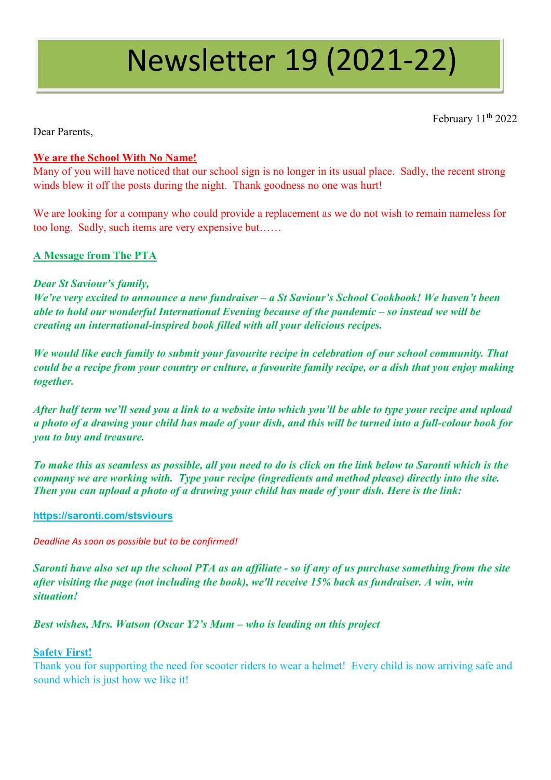# Newsletter 19 (2021-22)

February 11<sup>th</sup> 2022

Dear Parents,

## **We are the School With No Name!**

Many of you will have noticed that our school sign is no longer in its usual place. Sadly, the recent strong winds blew it off the posts during the night. Thank goodness no one was hurt!

We are looking for a company who could provide a replacement as we do not wish to remain nameless for too long. Sadly, such items are very expensive but……

# **A Message from The PTA**

## *Dear St Saviour's family,*

*We're very excited to announce a new fundraiser – a St Saviour's School Cookbook! We haven't been able to hold our wonderful International Evening because of the pandemic – so instead we will be creating an international-inspired book filled with all your delicious recipes.* 

*We would like each family to submit your favourite recipe in celebration of our school community. That could be a recipe from your country or culture, a favourite family recipe, or a dish that you enjoy making together.* 

*After half term we'll send you a link to a website into which you'll be able to type your recipe and upload a photo of a drawing your child has made of your dish, and this will be turned into a full-colour book for you to buy and treasure.* 

*To make this as seamless as possible, all you need to do is click on the link below to Saronti which is the company we are working with. Type your recipe (ingredients and method please) directly into the site. Then you can upload a photo of a drawing your child has made of your dish. Here is the link:* 

#### **[https://saronti.com/stsviours](https://emea01.safelinks.protection.outlook.com/?url=https%3A%2F%2Fsaronti.com%2Fstsviours&data=04%7C01%7C%7Cf3c47a11b2eb4c338d7108d9ed4df512%7C84df9e7fe9f640afb435aaaaaaaaaaaa%7C1%7C0%7C637801741338939628%7CUnknown%7CTWFpbGZsb3d8eyJWIjoiMC4wLjAwMDAiLCJQIjoiV2luMzIiLCJBTiI6Ik1haWwiLCJXVCI6Mn0%3D%7C3000&sdata=KLu15wFDH4XfIb%2BeSvJKBL3nFI%2BVmRNgMaqKwgMhkZ8%3D&reserved=0)**

*Deadline As soon as possible but to be confirmed!*

*Saronti have also set up the school PTA as an affiliate - so if any of us purchase something from the site after visiting the page (not including the book), we'll receive 15% back as fundraiser. A win, win situation!*

*Best wishes, Mrs. Watson (Oscar Y2's Mum – who is leading on this project* 

#### **Safety First!**

Thank you for supporting the need for scooter riders to wear a helmet! Every child is now arriving safe and sound which is just how we like it!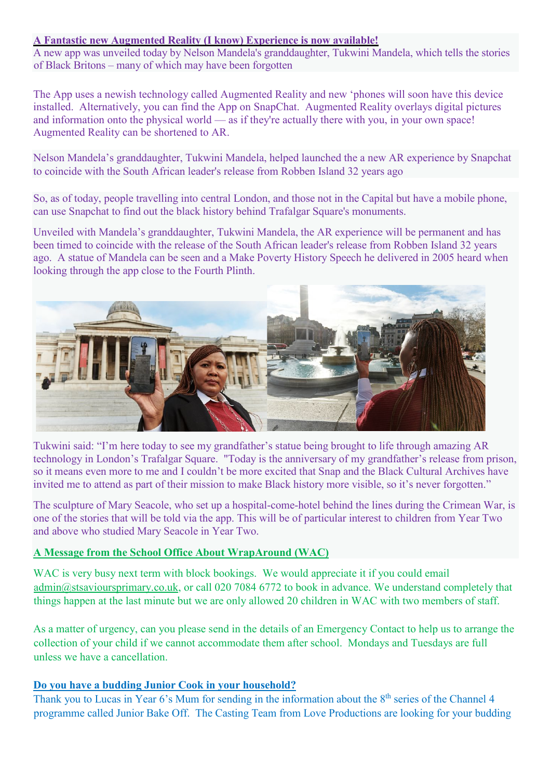## **A Fantastic new Augmented Reality (I know) Experience is now available!**

A new app was unveiled today by Nelson Mandela's granddaughter, Tukwini Mandela, which tells the stories of Black Britons – many of which may have been forgotten

The App uses a newish technology called Augmented Reality and new 'phones will soon have this device installed. Alternatively, you can find the App on SnapChat. Augmented Reality overlays digital pictures and information onto the physical world — as if they're actually there with you, in your own space! Augmented Reality can be shortened to AR.

Nelson Mandela's granddaughter, Tukwini Mandela, helped launched the a new AR experience by Snapchat to coincide with the South African leader's release from Robben Island 32 years ago

So, as of today, people travelling into central London, and those not in the Capital but have a mobile phone, can use Snapchat to find out the black history behind Trafalgar Square's monuments.

Unveiled with Mandela's granddaughter, Tukwini Mandela, the AR experience will be permanent and has been timed to coincide with the release of the South African leader's release from Robben Island 32 years ago. A statue of Mandela can be seen and a Make Poverty History Speech he delivered in 2005 heard when looking through the app close to the Fourth Plinth.



Tukwini said: "I'm here today to see my grandfather's statue being brought to life through amazing AR technology in London's Trafalgar Square. "Today is the anniversary of my grandfather's release from prison, so it means even more to me and I couldn't be more excited that Snap and the Black Cultural Archives have invited me to attend as part of their mission to make Black history more visible, so it's never forgotten."

The sculpture of Mary Seacole, who set up a hospital-come-hotel behind the lines during the Crimean War, is one of the stories that will be told via the app. This will be of particular interest to children from Year Two and above who studied Mary Seacole in Year Two.

## **A Message from the School Office About WrapAround (WAC)**

WAC is very busy next term with block bookings. We would appreciate it if you could email [admin@stsavioursprimary.co.uk,](mailto:admin@stsavioursprimary.co.uk) or call 020 7084 6772 to book in advance. We understand completely that things happen at the last minute but we are only allowed 20 children in WAC with two members of staff.

As a matter of urgency, can you please send in the details of an Emergency Contact to help us to arrange the collection of your child if we cannot accommodate them after school. Mondays and Tuesdays are full unless we have a cancellation.

## **Do you have a budding Junior Cook in your household?**

Thank you to Lucas in Year 6's Mum for sending in the information about the 8<sup>th</sup> series of the Channel 4 programme called Junior Bake Off. The Casting Team from Love Productions are looking for your budding